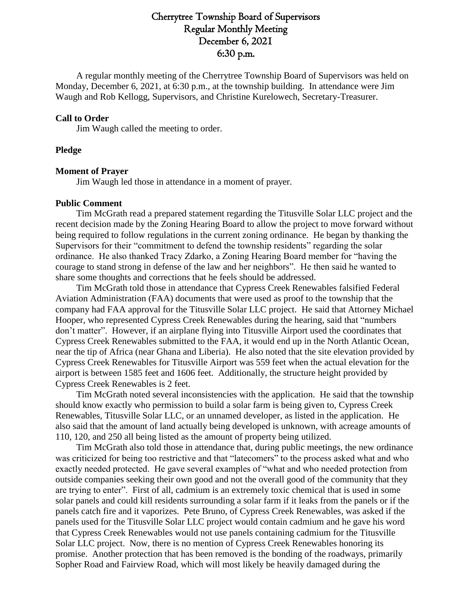# Cherrytree Township Board of Supervisors Regular Monthly Meeting December 6, 2021 6:30 p.m.

A regular monthly meeting of the Cherrytree Township Board of Supervisors was held on Monday, December 6, 2021, at 6:30 p.m., at the township building. In attendance were Jim Waugh and Rob Kellogg, Supervisors, and Christine Kurelowech, Secretary-Treasurer.

### **Call to Order**

Jim Waugh called the meeting to order.

### **Pledge**

# **Moment of Prayer**

Jim Waugh led those in attendance in a moment of prayer.

# **Public Comment**

Tim McGrath read a prepared statement regarding the Titusville Solar LLC project and the recent decision made by the Zoning Hearing Board to allow the project to move forward without being required to follow regulations in the current zoning ordinance. He began by thanking the Supervisors for their "commitment to defend the township residents" regarding the solar ordinance. He also thanked Tracy Zdarko, a Zoning Hearing Board member for "having the courage to stand strong in defense of the law and her neighbors". He then said he wanted to share some thoughts and corrections that he feels should be addressed.

Tim McGrath told those in attendance that Cypress Creek Renewables falsified Federal Aviation Administration (FAA) documents that were used as proof to the township that the company had FAA approval for the Titusville Solar LLC project. He said that Attorney Michael Hooper, who represented Cypress Creek Renewables during the hearing, said that "numbers don't matter". However, if an airplane flying into Titusville Airport used the coordinates that Cypress Creek Renewables submitted to the FAA, it would end up in the North Atlantic Ocean, near the tip of Africa (near Ghana and Liberia). He also noted that the site elevation provided by Cypress Creek Renewables for Titusville Airport was 559 feet when the actual elevation for the airport is between 1585 feet and 1606 feet. Additionally, the structure height provided by Cypress Creek Renewables is 2 feet.

Tim McGrath noted several inconsistencies with the application. He said that the township should know exactly who permission to build a solar farm is being given to, Cypress Creek Renewables, Titusville Solar LLC, or an unnamed developer, as listed in the application. He also said that the amount of land actually being developed is unknown, with acreage amounts of 110, 120, and 250 all being listed as the amount of property being utilized.

Tim McGrath also told those in attendance that, during public meetings, the new ordinance was criticized for being too restrictive and that "latecomers" to the process asked what and who exactly needed protected. He gave several examples of "what and who needed protection from outside companies seeking their own good and not the overall good of the community that they are trying to enter". First of all, cadmium is an extremely toxic chemical that is used in some solar panels and could kill residents surrounding a solar farm if it leaks from the panels or if the panels catch fire and it vaporizes. Pete Bruno, of Cypress Creek Renewables, was asked if the panels used for the Titusville Solar LLC project would contain cadmium and he gave his word that Cypress Creek Renewables would not use panels containing cadmium for the Titusville Solar LLC project. Now, there is no mention of Cypress Creek Renewables honoring its promise. Another protection that has been removed is the bonding of the roadways, primarily Sopher Road and Fairview Road, which will most likely be heavily damaged during the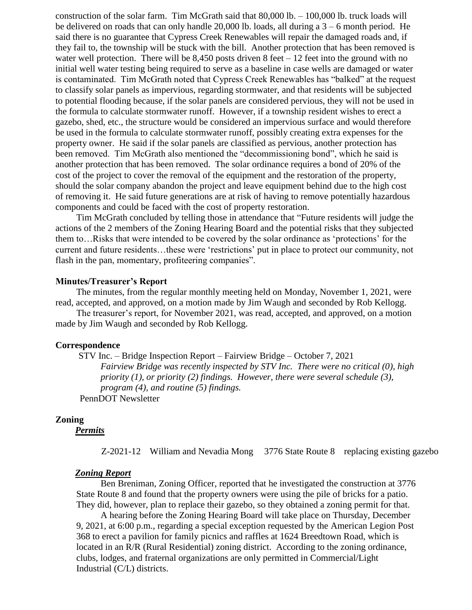construction of the solar farm. Tim McGrath said that 80,000 lb. – 100,000 lb. truck loads will be delivered on roads that can only handle 20,000 lb. loads, all during a  $3 - 6$  month period. He said there is no guarantee that Cypress Creek Renewables will repair the damaged roads and, if they fail to, the township will be stuck with the bill. Another protection that has been removed is water well protection. There will be  $8,450$  posts driven 8 feet  $-12$  feet into the ground with no initial well water testing being required to serve as a baseline in case wells are damaged or water is contaminated. Tim McGrath noted that Cypress Creek Renewables has "balked" at the request to classify solar panels as impervious, regarding stormwater, and that residents will be subjected to potential flooding because, if the solar panels are considered pervious, they will not be used in the formula to calculate stormwater runoff. However, if a township resident wishes to erect a gazebo, shed, etc., the structure would be considered an impervious surface and would therefore be used in the formula to calculate stormwater runoff, possibly creating extra expenses for the property owner. He said if the solar panels are classified as pervious, another protection has been removed. Tim McGrath also mentioned the "decommissioning bond", which he said is another protection that has been removed. The solar ordinance requires a bond of 20% of the cost of the project to cover the removal of the equipment and the restoration of the property, should the solar company abandon the project and leave equipment behind due to the high cost of removing it. He said future generations are at risk of having to remove potentially hazardous components and could be faced with the cost of property restoration.

Tim McGrath concluded by telling those in attendance that "Future residents will judge the actions of the 2 members of the Zoning Hearing Board and the potential risks that they subjected them to…Risks that were intended to be covered by the solar ordinance as 'protections' for the current and future residents…these were 'restrictions' put in place to protect our community, not flash in the pan, momentary, profiteering companies".

### **Minutes/Treasurer's Report**

The minutes, from the regular monthly meeting held on Monday, November 1, 2021, were read, accepted, and approved, on a motion made by Jim Waugh and seconded by Rob Kellogg.

The treasurer's report, for November 2021, was read, accepted, and approved, on a motion made by Jim Waugh and seconded by Rob Kellogg.

#### **Correspondence**

STV Inc. – Bridge Inspection Report – Fairview Bridge – October 7, 2021 *Fairview Bridge was recently inspected by STV Inc. There were no critical (0), high priority (1), or priority (2) findings. However, there were several schedule (3), program (4), and routine (5) findings.*

PennDOT Newsletter

# **Zoning**

*Permits*

Z-2021-12 William and Nevadia Mong 3776 State Route 8 replacing existing gazebo

#### *Zoning Report*

Ben Breniman, Zoning Officer, reported that he investigated the construction at 3776 State Route 8 and found that the property owners were using the pile of bricks for a patio. They did, however, plan to replace their gazebo, so they obtained a zoning permit for that.

A hearing before the Zoning Hearing Board will take place on Thursday, December 9, 2021, at 6:00 p.m., regarding a special exception requested by the American Legion Post 368 to erect a pavilion for family picnics and raffles at 1624 Breedtown Road, which is located in an R/R (Rural Residential) zoning district. According to the zoning ordinance, clubs, lodges, and fraternal organizations are only permitted in Commercial/Light Industrial (C/L) districts.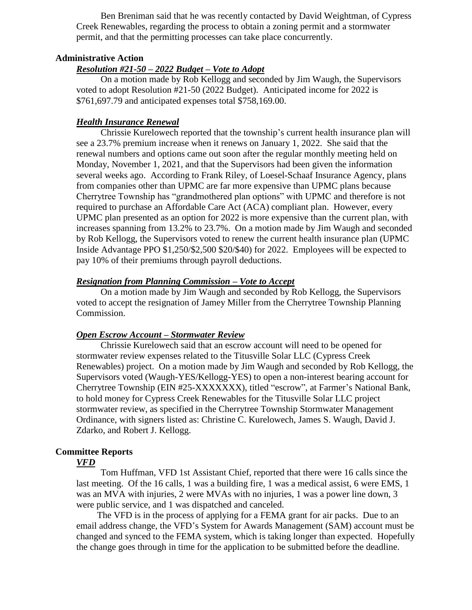Ben Breniman said that he was recently contacted by David Weightman, of Cypress Creek Renewables, regarding the process to obtain a zoning permit and a stormwater permit, and that the permitting processes can take place concurrently.

# **Administrative Action**

# *Resolution #21-50 – 2022 Budget – Vote to Adopt*

On a motion made by Rob Kellogg and seconded by Jim Waugh, the Supervisors voted to adopt Resolution #21-50 (2022 Budget). Anticipated income for 2022 is \$761,697.79 and anticipated expenses total \$758,169.00.

# *Health Insurance Renewal*

Chrissie Kurelowech reported that the township's current health insurance plan will see a 23.7% premium increase when it renews on January 1, 2022. She said that the renewal numbers and options came out soon after the regular monthly meeting held on Monday, November 1, 2021, and that the Supervisors had been given the information several weeks ago. According to Frank Riley, of Loesel-Schaaf Insurance Agency, plans from companies other than UPMC are far more expensive than UPMC plans because Cherrytree Township has "grandmothered plan options" with UPMC and therefore is not required to purchase an Affordable Care Act (ACA) compliant plan. However, every UPMC plan presented as an option for 2022 is more expensive than the current plan, with increases spanning from 13.2% to 23.7%. On a motion made by Jim Waugh and seconded by Rob Kellogg, the Supervisors voted to renew the current health insurance plan (UPMC Inside Advantage PPO \$1,250/\$2,500 \$20/\$40) for 2022. Employees will be expected to pay 10% of their premiums through payroll deductions.

# *Resignation from Planning Commission – Vote to Accept*

On a motion made by Jim Waugh and seconded by Rob Kellogg, the Supervisors voted to accept the resignation of Jamey Miller from the Cherrytree Township Planning Commission.

# *Open Escrow Account – Stormwater Review*

Chrissie Kurelowech said that an escrow account will need to be opened for stormwater review expenses related to the Titusville Solar LLC (Cypress Creek Renewables) project. On a motion made by Jim Waugh and seconded by Rob Kellogg, the Supervisors voted (Waugh-YES/Kellogg-YES) to open a non-interest bearing account for Cherrytree Township (EIN #25-XXXXXXX), titled "escrow", at Farmer's National Bank, to hold money for Cypress Creek Renewables for the Titusville Solar LLC project stormwater review, as specified in the Cherrytree Township Stormwater Management Ordinance, with signers listed as: Christine C. Kurelowech, James S. Waugh, David J. Zdarko, and Robert J. Kellogg.

# **Committee Reports**

# *VFD*

Tom Huffman, VFD 1st Assistant Chief, reported that there were 16 calls since the last meeting. Of the 16 calls, 1 was a building fire, 1 was a medical assist, 6 were EMS, 1 was an MVA with injuries, 2 were MVAs with no injuries, 1 was a power line down, 3 were public service, and 1 was dispatched and canceled.

The VFD is in the process of applying for a FEMA grant for air packs. Due to an email address change, the VFD's System for Awards Management (SAM) account must be changed and synced to the FEMA system, which is taking longer than expected. Hopefully the change goes through in time for the application to be submitted before the deadline.